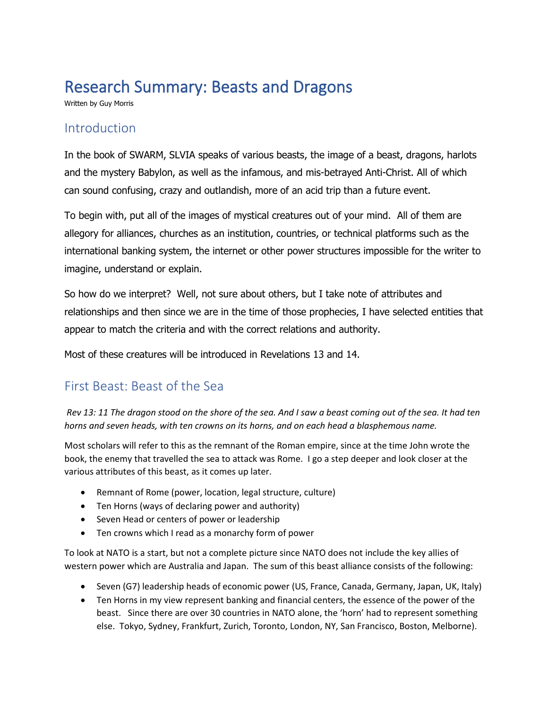# Research Summary: Beasts and Dragons

Written by Guy Morris

### Introduction

In the book of SWARM, SLVIA speaks of various beasts, the image of a beast, dragons, harlots and the mystery Babylon, as well as the infamous, and mis-betrayed Anti-Christ. All of which can sound confusing, crazy and outlandish, more of an acid trip than a future event.

To begin with, put all of the images of mystical creatures out of your mind. All of them are allegory for alliances, churches as an institution, countries, or technical platforms such as the international banking system, the internet or other power structures impossible for the writer to imagine, understand or explain.

So how do we interpret? Well, not sure about others, but I take note of attributes and relationships and then since we are in the time of those prophecies, I have selected entities that appear to match the criteria and with the correct relations and authority.

Most of these creatures will be introduced in Revelations 13 and 14.

# First Beast: Beast of the Sea

*Rev 13: 11 The dragon stood on the shore of the sea. And I saw a beast coming out of the sea. It had ten horns and seven heads, with ten crowns on its horns, and on each head a blasphemous name.*

Most scholars will refer to this as the remnant of the Roman empire, since at the time John wrote the book, the enemy that travelled the sea to attack was Rome. I go a step deeper and look closer at the various attributes of this beast, as it comes up later.

- Remnant of Rome (power, location, legal structure, culture)
- Ten Horns (ways of declaring power and authority)
- Seven Head or centers of power or leadership
- Ten crowns which I read as a monarchy form of power

To look at NATO is a start, but not a complete picture since NATO does not include the key allies of western power which are Australia and Japan. The sum of this beast alliance consists of the following:

- Seven (G7) leadership heads of economic power (US, France, Canada, Germany, Japan, UK, Italy)
- Ten Horns in my view represent banking and financial centers, the essence of the power of the beast. Since there are over 30 countries in NATO alone, the 'horn' had to represent something else. Tokyo, Sydney, Frankfurt, Zurich, Toronto, London, NY, San Francisco, Boston, Melborne).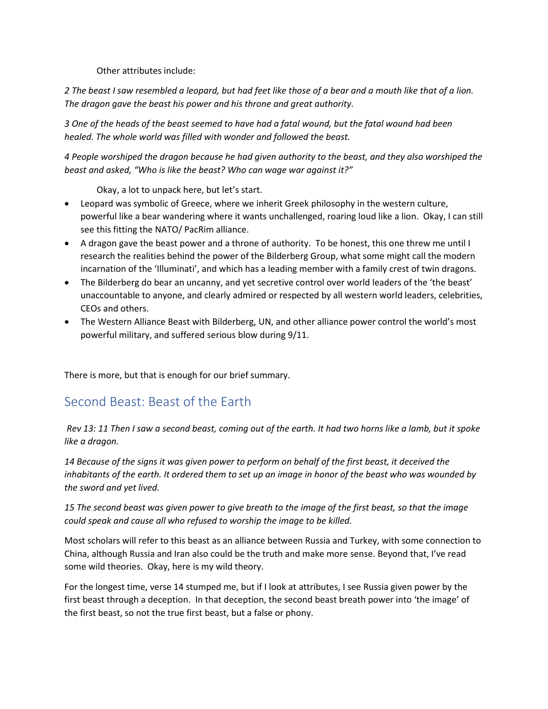Other attributes include:

*2 The beast I saw resembled a leopard, but had feet like those of a bear and a mouth like that of a lion. The dragon gave the beast his power and his throne and great authority.*

*3 One of the heads of the beast seemed to have had a fatal wound, but the fatal wound had been healed. The whole world was filled with wonder and followed the beast.*

*4 People worshiped the dragon because he had given authority to the beast, and they also worshiped the beast and asked, "Who is like the beast? Who can wage war against it?"*

Okay, a lot to unpack here, but let's start.

- Leopard was symbolic of Greece, where we inherit Greek philosophy in the western culture, powerful like a bear wandering where it wants unchallenged, roaring loud like a lion. Okay, I can still see this fitting the NATO/ PacRim alliance.
- A dragon gave the beast power and a throne of authority. To be honest, this one threw me until I research the realities behind the power of the Bilderberg Group, what some might call the modern incarnation of the 'Illuminati', and which has a leading member with a family crest of twin dragons.
- The Bilderberg do bear an uncanny, and yet secretive control over world leaders of the 'the beast' unaccountable to anyone, and clearly admired or respected by all western world leaders, celebrities, CEOs and others.
- The Western Alliance Beast with Bilderberg, UN, and other alliance power control the world's most powerful military, and suffered serious blow during 9/11.

There is more, but that is enough for our brief summary.

### Second Beast: Beast of the Earth

*Rev 13: 11 Then I saw a second beast, coming out of the earth. It had two horns like a lamb, but it spoke like a dragon.* 

*14 Because of the signs it was given power to perform on behalf of the first beast, it deceived the inhabitants of the earth. It ordered them to set up an image in honor of the beast who was wounded by the sword and yet lived.* 

*15 The second beast was given power to give breath to the image of the first beast, so that the image could speak and cause all who refused to worship the image to be killed.*

Most scholars will refer to this beast as an alliance between Russia and Turkey, with some connection to China, although Russia and Iran also could be the truth and make more sense. Beyond that, I've read some wild theories. Okay, here is my wild theory.

For the longest time, verse 14 stumped me, but if I look at attributes, I see Russia given power by the first beast through a deception. In that deception, the second beast breath power into 'the image' of the first beast, so not the true first beast, but a false or phony.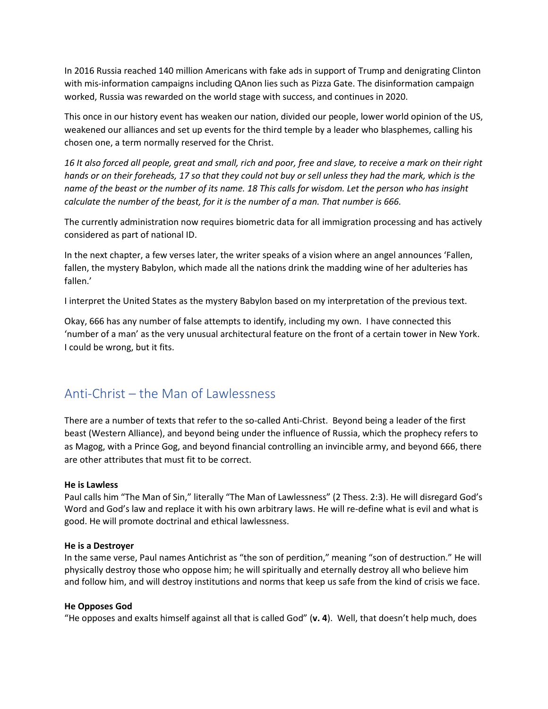In 2016 Russia reached 140 million Americans with fake ads in support of Trump and denigrating Clinton with mis-information campaigns including QAnon lies such as Pizza Gate. The disinformation campaign worked, Russia was rewarded on the world stage with success, and continues in 2020.

This once in our history event has weaken our nation, divided our people, lower world opinion of the US, weakened our alliances and set up events for the third temple by a leader who blasphemes, calling his chosen one, a term normally reserved for the Christ.

*16 It also forced all people, great and small, rich and poor, free and slave, to receive a mark on their right hands or on their foreheads, 17 so that they could not buy or sell unless they had the mark, which is the name of the beast or the number of its name. 18 This calls for wisdom. Let the person who has insight calculate the number of the beast, for it is the number of a man. That number is 666.*

The currently administration now requires biometric data for all immigration processing and has actively considered as part of national ID.

In the next chapter, a few verses later, the writer speaks of a vision where an angel announces 'Fallen, fallen, the mystery Babylon, which made all the nations drink the madding wine of her adulteries has fallen.'

I interpret the United States as the mystery Babylon based on my interpretation of the previous text.

Okay, 666 has any number of false attempts to identify, including my own. I have connected this 'number of a man' as the very unusual architectural feature on the front of a certain tower in New York. I could be wrong, but it fits.

# Anti-Christ – the Man of Lawlessness

There are a number of texts that refer to the so-called Anti-Christ. Beyond being a leader of the first beast (Western Alliance), and beyond being under the influence of Russia, which the prophecy refers to as Magog, with a Prince Gog, and beyond financial controlling an invincible army, and beyond 666, there are other attributes that must fit to be correct.

#### **He is Lawless**

Paul calls him "The Man of Sin," literally "The Man of Lawlessness" (2 Thess. 2:3). He will disregard God's Word and God's law and replace it with his own arbitrary laws. He will re-define what is evil and what is good. He will promote doctrinal and ethical lawlessness.

#### **He is a Destroyer**

In the same verse, Paul names Antichrist as "the son of perdition," meaning "son of destruction." He will physically destroy those who oppose him; he will spiritually and eternally destroy all who believe him and follow him, and will destroy institutions and norms that keep us safe from the kind of crisis we face.

#### **He Opposes God**

"He opposes and exalts himself against all that is called God" (**v. 4**). Well, that doesn't help much, does